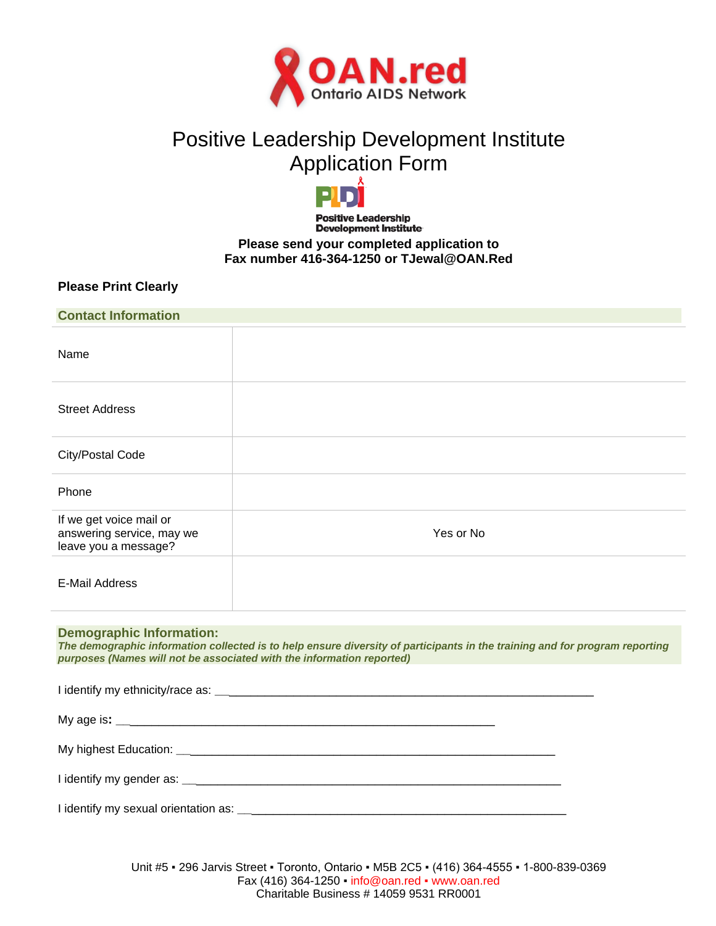

# Positive Leadership Development Institute Application Form



#### **Positive Leadership Development Institute Please send your completed application to Fax number 416-364-1250 or TJewal@OAN.Red**

# **Please Print Clearly**

| <b>Contact Information</b>                                                   |           |
|------------------------------------------------------------------------------|-----------|
| Name                                                                         |           |
| <b>Street Address</b>                                                        |           |
| City/Postal Code                                                             |           |
| Phone                                                                        |           |
| If we get voice mail or<br>answering service, may we<br>leave you a message? | Yes or No |
| <b>E-Mail Address</b>                                                        |           |

## **Demographic Information:**

*The demographic information collected is to help ensure diversity of participants in the training and for program reporting purposes (Names will not be associated with the information reported)*

Unit #5 ▪ 296 Jarvis Street ▪ Toronto, Ontario ▪ M5B 2C5 ▪ (416) 364-4555 ▪ 1-800-839-0369 Fax (416) 364-1250 ▪ [info@o](mailto:info@ontarioaidsnetwork.on.ca)an.red ▪ www.oan.red Charitable Business # 14059 9531 RR0001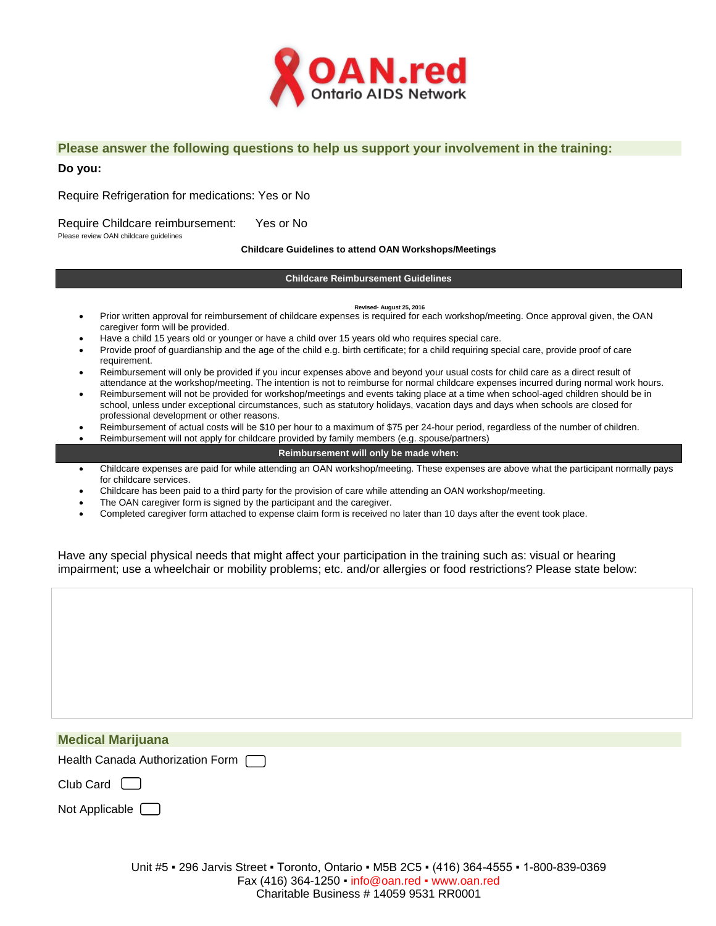

### **Please answer the following questions to help us support your involvement in the training:**

#### **Do you:**

Require Refrigeration for medications: Yes or No

Require Childcare reimbursement: Yes or No

Please review OAN childcare guidelines

**Childcare Guidelines to attend OAN Workshops/Meetings**

#### **Childcare Reimbursement Guidelines**

#### **Revised- August 25, 2016**

- Prior written approval for reimbursement of childcare expenses is required for each workshop/meeting. Once approval given, the OAN caregiver form will be provided.
- Have a child 15 years old or younger or have a child over 15 years old who requires special care.
- Provide proof of guardianship and the age of the child e.g. birth certificate; for a child requiring special care, provide proof of care requirement.
- Reimbursement will only be provided if you incur expenses above and beyond your usual costs for child care as a direct result of attendance at the workshop/meeting. The intention is not to reimburse for normal childcare expenses incurred during normal work hours.
- Reimbursement will not be provided for workshop/meetings and events taking place at a time when school-aged children should be in school, unless under exceptional circumstances, such as statutory holidays, vacation days and days when schools are closed for professional development or other reasons.
- Reimbursement of actual costs will be \$10 per hour to a maximum of \$75 per 24-hour period, regardless of the number of children.
	- Reimbursement will not apply for childcare provided by family members (e.g. spouse/partners)

#### **Reimbursement will only be made when:**

- Childcare expenses are paid for while attending an OAN workshop/meeting. These expenses are above what the participant normally pays for childcare services.
- Childcare has been paid to a third party for the provision of care while attending an OAN workshop/meeting.
- The OAN caregiver form is signed by the participant and the caregiver.
- Completed caregiver form attached to expense claim form is received no later than 10 days after the event took place.

Have any special physical needs that might affect your participation in the training such as: visual or hearing impairment; use a wheelchair or mobility problems; etc. and/or allergies or food restrictions? Please state below:

| <b>Medical Marijuana</b>           |  |
|------------------------------------|--|
| Health Canada Authorization Form [ |  |

Club Card [

| Not Applicable |  |  |  |  |  |
|----------------|--|--|--|--|--|
|----------------|--|--|--|--|--|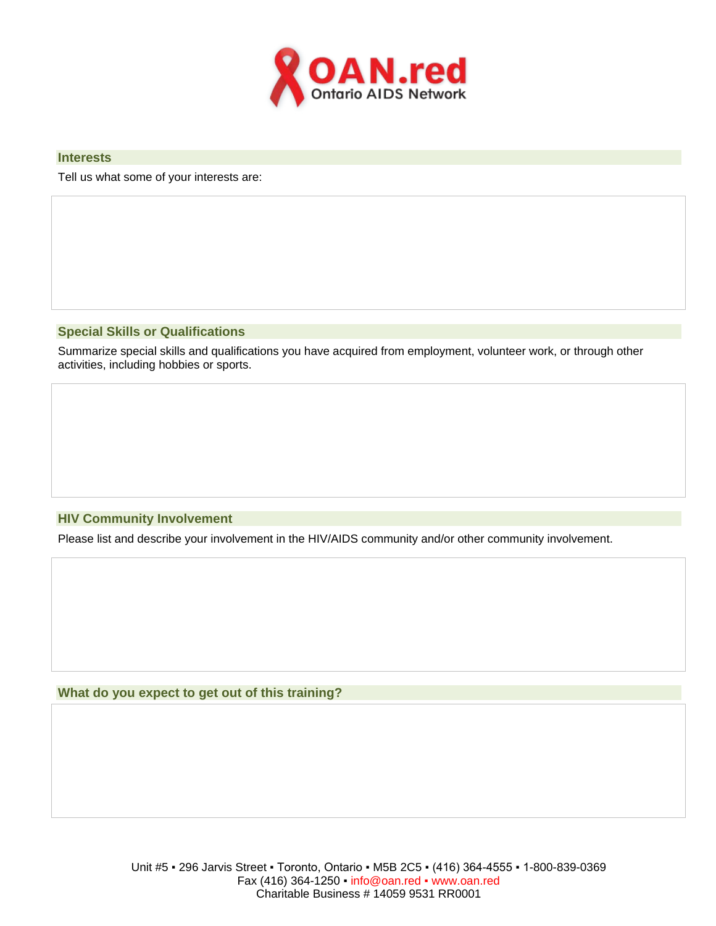

### **Interests**

Tell us what some of your interests are:

## **Special Skills or Qualifications**

Summarize special skills and qualifications you have acquired from employment, volunteer work, or through other activities, including hobbies or sports.

#### **HIV Community Involvement**

Please list and describe your involvement in the HIV/AIDS community and/or other community involvement.

#### **What do you expect to get out of this training?**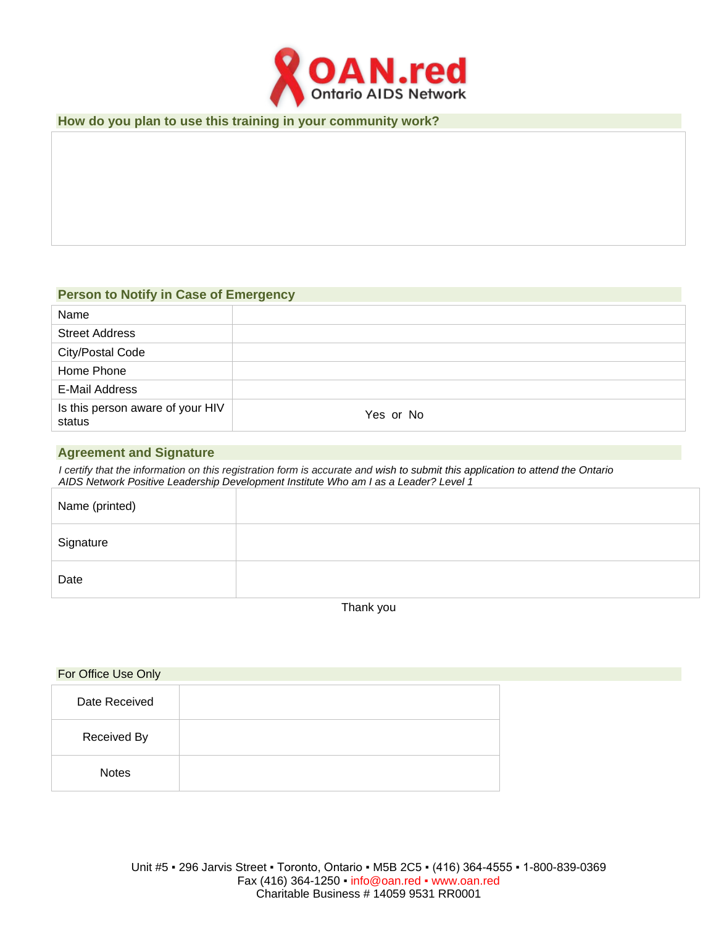

### **How do you plan to use this training in your community work?**

# **Person to Notify in Case of Emergency**

| Name                                       |           |
|--------------------------------------------|-----------|
| <b>Street Address</b>                      |           |
| <b>City/Postal Code</b>                    |           |
| Home Phone                                 |           |
| E-Mail Address                             |           |
| Is this person aware of your HIV<br>status | Yes or No |

## **Agreement and Signature**

*I certify that the information on this registration form is accurate and wish to submit this application to attend the Ontario AIDS Network Positive Leadership Development Institute Who am I as a Leader? Level 1*

| Name (printed) |  |
|----------------|--|
| Signature      |  |
| Date           |  |

Thank you

| For Office Use Only |  |
|---------------------|--|
| Date Received       |  |
| Received By         |  |
| <b>Notes</b>        |  |